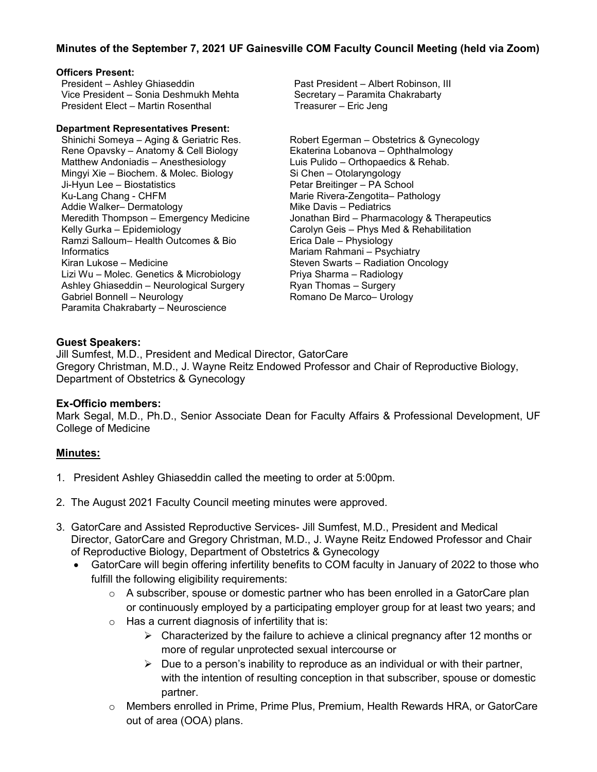## **Minutes of the September 7, 2021 UF Gainesville COM Faculty Council Meeting (held via Zoom)**

#### **Officers Present:**

President – Ashley Ghiaseddin Vice President – Sonia Deshmukh Mehta President Elect – Martin Rosenthal

#### **Department Representatives Present:**

Shinichi Someya – Aging & Geriatric Res. Rene Opavsky – Anatomy & Cell Biology Matthew Andoniadis – Anesthesiology Mingyi Xie – Biochem. & Molec. Biology Ji-Hyun Lee – Biostatistics Ku-Lang Chang - CHFM Addie Walker– Dermatology Meredith Thompson – Emergency Medicine Kelly Gurka – Epidemiology Ramzi Salloum– Health Outcomes & Bio **Informatics** Kiran Lukose – Medicine Lizi Wu – Molec. Genetics & Microbiology Ashley Ghiaseddin – Neurological Surgery Gabriel Bonnell – Neurology Paramita Chakrabarty – Neuroscience

Past President – Albert Robinson, III Secretary – Paramita Chakrabarty Treasurer – Eric Jeng

Robert Egerman – Obstetrics & Gynecology Ekaterina Lobanova – Ophthalmology Luis Pulido – Orthopaedics & Rehab. Si Chen – Otolaryngology Petar Breitinger – PA School Marie Rivera-Zengotita– Pathology Mike Davis – Pediatrics Jonathan Bird – Pharmacology & Therapeutics Carolyn Geis – Phys Med & Rehabilitation Erica Dale – Physiology Mariam Rahmani – Psychiatry Steven Swarts – Radiation Oncology Priya Sharma – Radiology Ryan Thomas – Surgery Romano De Marco– Urology

### **Guest Speakers:**

Jill Sumfest, M.D., President and Medical Director, GatorCare Gregory Christman, M.D., J. Wayne Reitz Endowed Professor and Chair of Reproductive Biology, Department of Obstetrics & Gynecology

#### **Ex-Officio members:**

Mark Segal, M.D., Ph.D., Senior Associate Dean for Faculty Affairs & Professional Development, UF College of Medicine

## **Minutes:**

- 1. President Ashley Ghiaseddin called the meeting to order at 5:00pm.
- 2. The August 2021 Faculty Council meeting minutes were approved.
- 3. GatorCare and Assisted Reproductive Services- Jill Sumfest, M.D., President and Medical Director, GatorCare and Gregory Christman, M.D., J. Wayne Reitz Endowed Professor and Chair of Reproductive Biology, Department of Obstetrics & Gynecology
	- GatorCare will begin offering infertility benefits to COM faculty in January of 2022 to those who fulfill the following eligibility requirements:
		- $\circ$  A subscriber, spouse or domestic partner who has been enrolled in a GatorCare plan or continuously employed by a participating employer group for at least two years; and
		- $\circ$  Has a current diagnosis of infertility that is:
			- $\triangleright$  Characterized by the failure to achieve a clinical pregnancy after 12 months or more of regular unprotected sexual intercourse or
			- $\triangleright$  Due to a person's inability to reproduce as an individual or with their partner, with the intention of resulting conception in that subscriber, spouse or domestic partner.
		- o Members enrolled in Prime, Prime Plus, Premium, Health Rewards HRA, or GatorCare out of area (OOA) plans.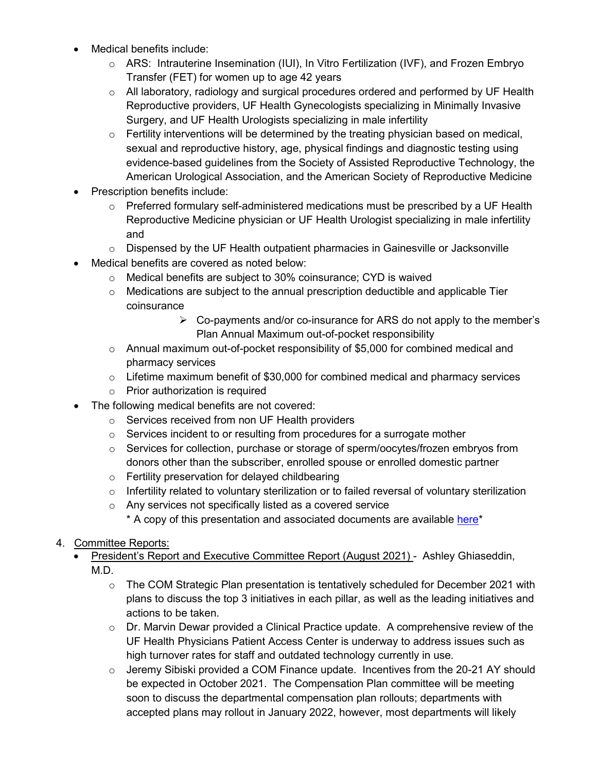- Medical benefits include:
	- o ARS: Intrauterine Insemination (IUI), In Vitro Fertilization (IVF), and Frozen Embryo Transfer (FET) for women up to age 42 years
	- o All laboratory, radiology and surgical procedures ordered and performed by UF Health Reproductive providers, UF Health Gynecologists specializing in Minimally Invasive Surgery, and UF Health Urologists specializing in male infertility
	- $\circ$  Fertility interventions will be determined by the treating physician based on medical, sexual and reproductive history, age, physical findings and diagnostic testing using evidence-based guidelines from the Society of Assisted Reproductive Technology, the American Urological Association, and the American Society of Reproductive Medicine
- Prescription benefits include:
	- $\circ$  Preferred formulary self-administered medications must be prescribed by a UF Health Reproductive Medicine physician or UF Health Urologist specializing in male infertility and
	- $\circ$  Dispensed by the UF Health outpatient pharmacies in Gainesville or Jacksonville
- Medical benefits are covered as noted below:
	- o Medical benefits are subject to 30% coinsurance; CYD is waived
	- $\circ$  Medications are subject to the annual prescription deductible and applicable Tier coinsurance
		- $\triangleright$  Co-payments and/or co-insurance for ARS do not apply to the member's Plan Annual Maximum out-of-pocket responsibility
	- o Annual maximum out-of-pocket responsibility of \$5,000 for combined medical and pharmacy services
	- $\circ$  Lifetime maximum benefit of \$30,000 for combined medical and pharmacy services
	- o Prior authorization is required
- The following medical benefits are not covered:
	- o Services received from non UF Health providers
	- $\circ$  Services incident to or resulting from procedures for a surrogate mother
	- $\circ$  Services for collection, purchase or storage of sperm/oocytes/frozen embryos from donors other than the subscriber, enrolled spouse or enrolled domestic partner
	- o Fertility preservation for delayed childbearing
	- $\circ$  Infertility related to voluntary sterilization or to failed reversal of voluntary sterilization
	- o Any services not specifically listed as a covered service
		- \* A copy of this presentation and associated documents are available [here\\*](https://facultycouncil-a2.sites.medinfo.ufl.edu/wordpress/files/2021/10/Sumfest-Christman-COM-2021.pdf)
- 4. Committee Reports:
	- President's Report and Executive Committee Report (August 2021) Ashley Ghiaseddin, M.D.
		- $\circ$  The COM Strategic Plan presentation is tentatively scheduled for December 2021 with plans to discuss the top 3 initiatives in each pillar, as well as the leading initiatives and actions to be taken.
		- $\circ$  Dr. Marvin Dewar provided a Clinical Practice update. A comprehensive review of the UF Health Physicians Patient Access Center is underway to address issues such as high turnover rates for staff and outdated technology currently in use.
		- o Jeremy Sibiski provided a COM Finance update. Incentives from the 20-21 AY should be expected in October 2021. The Compensation Plan committee will be meeting soon to discuss the departmental compensation plan rollouts; departments with accepted plans may rollout in January 2022, however, most departments will likely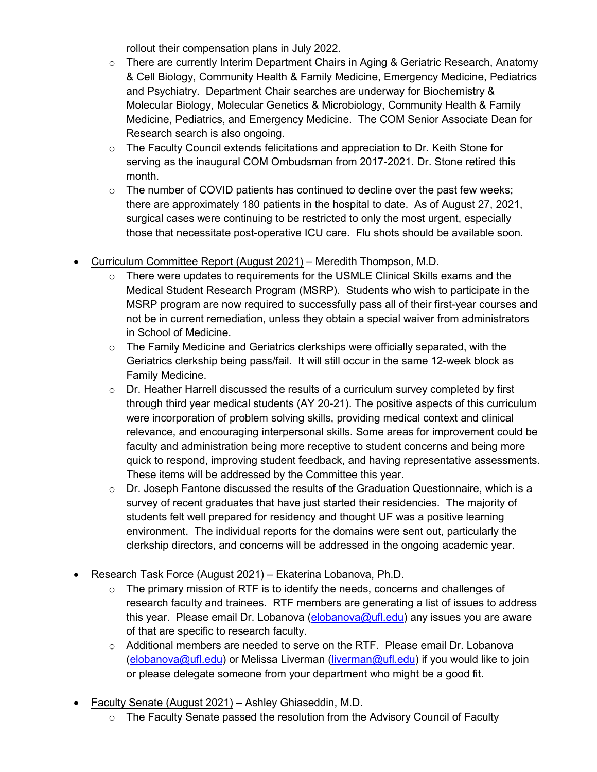rollout their compensation plans in July 2022.

- $\circ$  There are currently Interim Department Chairs in Aging & Geriatric Research, Anatomy & Cell Biology, Community Health & Family Medicine, Emergency Medicine, Pediatrics and Psychiatry. Department Chair searches are underway for Biochemistry & Molecular Biology, Molecular Genetics & Microbiology, Community Health & Family Medicine, Pediatrics, and Emergency Medicine. The COM Senior Associate Dean for Research search is also ongoing.
- $\circ$  The Faculty Council extends felicitations and appreciation to Dr. Keith Stone for serving as the inaugural COM Ombudsman from 2017-2021. Dr. Stone retired this month.
- $\circ$  The number of COVID patients has continued to decline over the past few weeks; there are approximately 180 patients in the hospital to date. As of August 27, 2021, surgical cases were continuing to be restricted to only the most urgent, especially those that necessitate post-operative ICU care. Flu shots should be available soon.
- Curriculum Committee Report (August 2021) Meredith Thompson, M.D.
	- $\circ$  There were updates to requirements for the USMLE Clinical Skills exams and the Medical Student Research Program (MSRP). Students who wish to participate in the MSRP program are now required to successfully pass all of their first-year courses and not be in current remediation, unless they obtain a special waiver from administrators in School of Medicine.
	- $\circ$  The Family Medicine and Geriatrics clerkships were officially separated, with the Geriatrics clerkship being pass/fail. It will still occur in the same 12-week block as Family Medicine.
	- $\circ$  Dr. Heather Harrell discussed the results of a curriculum survey completed by first through third year medical students (AY 20-21). The positive aspects of this curriculum were incorporation of problem solving skills, providing medical context and clinical relevance, and encouraging interpersonal skills. Some areas for improvement could be faculty and administration being more receptive to student concerns and being more quick to respond, improving student feedback, and having representative assessments. These items will be addressed by the Committee this year.
	- $\circ$  Dr. Joseph Fantone discussed the results of the Graduation Questionnaire, which is a survey of recent graduates that have just started their residencies. The majority of students felt well prepared for residency and thought UF was a positive learning environment. The individual reports for the domains were sent out, particularly the clerkship directors, and concerns will be addressed in the ongoing academic year.
- Research Task Force (August 2021) Ekaterina Lobanova, Ph.D.
	- $\circ$  The primary mission of RTF is to identify the needs, concerns and challenges of research faculty and trainees. RTF members are generating a list of issues to address this year. Please email Dr. Lobanova [\(elobanova@ufl.edu\)](mailto:elobanova@ufl.edu) any issues you are aware of that are specific to research faculty.
	- $\circ$  Additional members are needed to serve on the RTF. Please email Dr. Lobanova [\(elobanova@ufl.edu\)](mailto:elobanova@ufl.edu) or Melissa Liverman [\(liverman@ufl.edu\)](mailto:liverman@ufl.edu) if you would like to join or please delegate someone from your department who might be a good fit.
- Faculty Senate (August 2021) Ashley Ghiaseddin, M.D.
	- $\circ$  The Faculty Senate passed the resolution from the Advisory Council of Faculty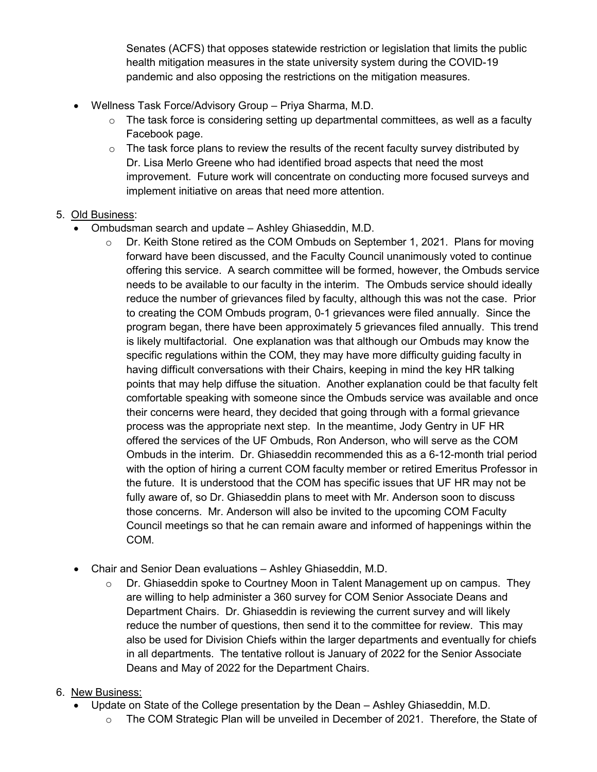Senates (ACFS) that opposes statewide restriction or legislation that limits the public health mitigation measures in the state university system during the COVID-19 pandemic and also opposing the restrictions on the mitigation measures.

- Wellness Task Force/Advisory Group Priya Sharma, M.D.
	- $\circ$  The task force is considering setting up departmental committees, as well as a faculty Facebook page.
	- $\circ$  The task force plans to review the results of the recent faculty survey distributed by Dr. Lisa Merlo Greene who had identified broad aspects that need the most improvement. Future work will concentrate on conducting more focused surveys and implement initiative on areas that need more attention.

# 5. Old Business:

- Ombudsman search and update Ashley Ghiaseddin, M.D.
	- $\circ$  Dr. Keith Stone retired as the COM Ombuds on September 1, 2021. Plans for moving forward have been discussed, and the Faculty Council unanimously voted to continue offering this service. A search committee will be formed, however, the Ombuds service needs to be available to our faculty in the interim. The Ombuds service should ideally reduce the number of grievances filed by faculty, although this was not the case. Prior to creating the COM Ombuds program, 0-1 grievances were filed annually. Since the program began, there have been approximately 5 grievances filed annually. This trend is likely multifactorial. One explanation was that although our Ombuds may know the specific regulations within the COM, they may have more difficulty guiding faculty in having difficult conversations with their Chairs, keeping in mind the key HR talking points that may help diffuse the situation. Another explanation could be that faculty felt comfortable speaking with someone since the Ombuds service was available and once their concerns were heard, they decided that going through with a formal grievance process was the appropriate next step. In the meantime, Jody Gentry in UF HR offered the services of the UF Ombuds, Ron Anderson, who will serve as the COM Ombuds in the interim. Dr. Ghiaseddin recommended this as a 6-12-month trial period with the option of hiring a current COM faculty member or retired Emeritus Professor in the future. It is understood that the COM has specific issues that UF HR may not be fully aware of, so Dr. Ghiaseddin plans to meet with Mr. Anderson soon to discuss those concerns. Mr. Anderson will also be invited to the upcoming COM Faculty Council meetings so that he can remain aware and informed of happenings within the COM.
- Chair and Senior Dean evaluations Ashley Ghiaseddin, M.D.
	- $\circ$  Dr. Ghiaseddin spoke to Courtney Moon in Talent Management up on campus. They are willing to help administer a 360 survey for COM Senior Associate Deans and Department Chairs. Dr. Ghiaseddin is reviewing the current survey and will likely reduce the number of questions, then send it to the committee for review. This may also be used for Division Chiefs within the larger departments and eventually for chiefs in all departments. The tentative rollout is January of 2022 for the Senior Associate Deans and May of 2022 for the Department Chairs.

## 6. New Business:

- Update on State of the College presentation by the Dean Ashley Ghiaseddin, M.D.
	- $\circ$  The COM Strategic Plan will be unveiled in December of 2021. Therefore, the State of